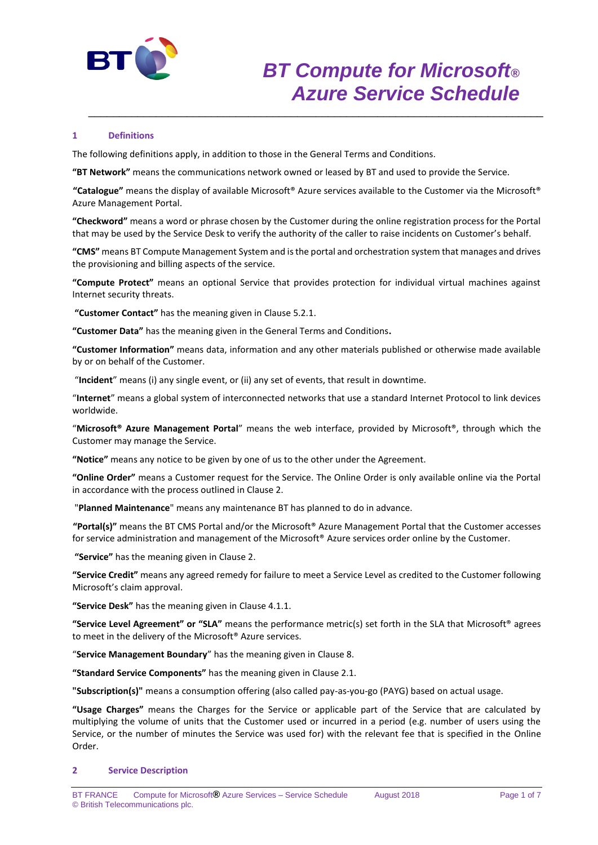

# **1 Definitions**

The following definitions apply, in addition to those in the General Terms and Conditions.

**"BT Network"** means the communications network owned or leased by BT and used to provide the Service.

**"Catalogue"** means the display of available Microsoft® Azure services available to the Customer via the Microsoft® Azure Management Portal.

\_\_\_\_\_\_\_\_\_\_\_\_\_\_\_\_\_\_\_\_\_\_\_\_\_\_\_\_\_\_\_\_\_\_\_\_\_\_\_\_\_\_\_\_\_\_\_\_\_\_\_\_\_\_\_\_\_\_\_\_\_\_\_\_\_\_\_\_\_\_\_\_\_\_

**"Checkword"** means a word or phrase chosen by the Customer during the online registration process for the Portal that may be used by the Service Desk to verify the authority of the caller to raise incidents on Customer's behalf.

**"CMS"** means BT Compute Management System and is the portal and orchestration system that manages and drives the provisioning and billing aspects of the service.

**"Compute Protect"** means an optional Service that provides protection for individual virtual machines against Internet security threats.

**"Customer Contact"** has the meaning given in Clause 5.2.1.

**"Customer Data"** has the meaning given in the General Terms and Conditions**.**

**"Customer Information"** means data, information and any other materials published or otherwise made available by or on behalf of the Customer.

"**Incident**" means (i) any single event, or (ii) any set of events, that result in downtime.

"**Internet**" means a global system of interconnected networks that use a standard Internet Protocol to link devices worldwide.

"**Microsoft® Azure Management Portal**" means the web interface, provided by Microsoft®, through which the Customer may manage the Service.

**"Notice"** means any notice to be given by one of us to the other under the Agreement.

**"Online Order"** means a Customer request for the Service. The Online Order is only available online via the Portal in accordance with the process outlined in Clause 2.

"**Planned Maintenance**" means any maintenance BT has planned to do in advance.

**"Portal(s)"** means the BT CMS Portal and/or the Microsoft® Azure Management Portal that the Customer accesses for service administration and management of the Microsoft® Azure services order online by the Customer.

**"Service"** has the meaning given in Clause 2.

**"Service Credit"** means any agreed remedy for failure to meet a Service Level as credited to the Customer following Microsoft's claim approval.

**"Service Desk"** has the meaning given in Clause 4.1.1.

**"Service Level Agreement" or "SLA"** means the performance metric(s) set forth in the SLA that Microsoft® agrees to meet in the delivery of the Microsoft® Azure services.

"**Service Management Boundary**" has the meaning given in Clause 8.

**"Standard Service Components"** has the meaning given in Clause 2.1.

**"Subscription(s)"** means a consumption offering (also called pay-as-you-go (PAYG) based on actual usage.

**"Usage Charges"** means the Charges for the Service or applicable part of the Service that are calculated by multiplying the volume of units that the Customer used or incurred in a period (e.g. number of users using the Service, or the number of minutes the Service was used for) with the relevant fee that is specified in the Online Order.

#### **2 Service Description**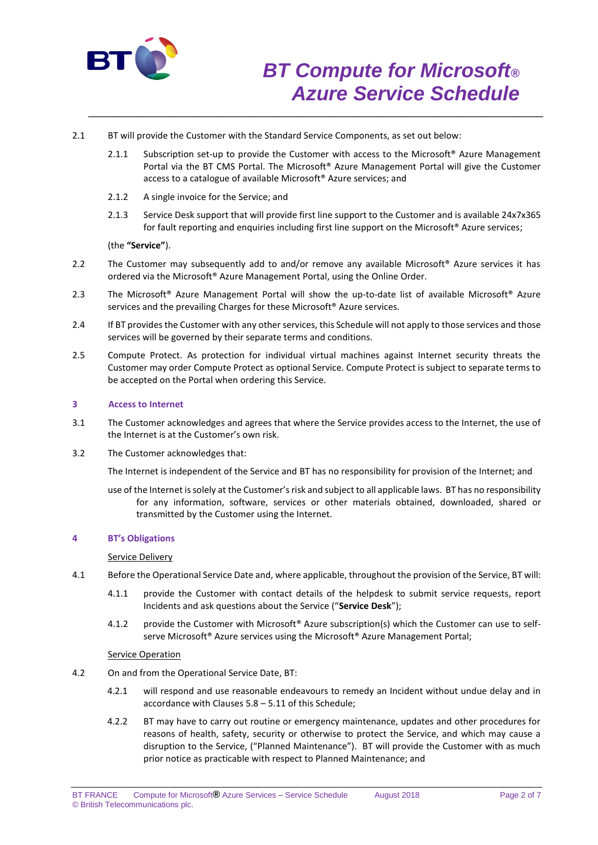

- 2.1 BT will provide the Customer with the Standard Service Components, as set out below:
	- 2.1.1 Subscription set-up to provide the Customer with access to the Microsoft<sup>®</sup> Azure Management Portal via the BT CMS Portal. The Microsoft® Azure Management Portal will give the Customer access to a catalogue of available Microsoft® Azure services; and

\_\_\_\_\_\_\_\_\_\_\_\_\_\_\_\_\_\_\_\_\_\_\_\_\_\_\_\_\_\_\_\_\_\_\_\_\_\_\_\_\_\_\_\_\_\_\_\_\_\_\_\_\_\_\_\_\_\_\_\_\_\_\_\_\_\_\_\_\_\_\_\_\_\_

- 2.1.2 A single invoice for the Service; and
- 2.1.3 Service Desk support that will provide first line support to the Customer and is available 24x7x365 for fault reporting and enquiries including first line support on the Microsoft® Azure services;

(the **"Service"**).

- 2.2 The Customer may subsequently add to and/or remove any available Microsoft<sup>®</sup> Azure services it has ordered via the Microsoft® Azure Management Portal, using the Online Order.
- 2.3 The Microsoft® Azure Management Portal will show the up-to-date list of available Microsoft® Azure services and the prevailing Charges for these Microsoft<sup>®</sup> Azure services.
- 2.4 If BT provides the Customer with any other services, this Schedule will not apply to those services and those services will be governed by their separate terms and conditions.
- 2.5 Compute Protect. As protection for individual virtual machines against Internet security threats the Customer may order Compute Protect as optional Service. Compute Protect is subject to separate terms to be accepted on the Portal when ordering this Service.

### **3 Access to Internet**

- 3.1 The Customer acknowledges and agrees that where the Service provides access to the Internet, the use of the Internet is at the Customer's own risk.
- 3.2 The Customer acknowledges that:

The Internet is independent of the Service and BT has no responsibility for provision of the Internet; and

use of the Internet is solely at the Customer'srisk and subject to all applicable laws. BT has no responsibility for any information, software, services or other materials obtained, downloaded, shared or transmitted by the Customer using the Internet.

#### **4 BT's Obligations**

## Service Delivery

- 4.1 Before the Operational Service Date and, where applicable, throughout the provision of the Service, BT will:
	- 4.1.1 provide the Customer with contact details of the helpdesk to submit service requests, report Incidents and ask questions about the Service ("**Service Desk**");
	- 4.1.2 provide the Customer with Microsoft® Azure subscription(s) which the Customer can use to selfserve Microsoft<sup>®</sup> Azure services using the Microsoft<sup>®</sup> Azure Management Portal;

#### **Service Operation**

- 4.2 On and from the Operational Service Date, BT:
	- 4.2.1 will respond and use reasonable endeavours to remedy an Incident without undue delay and in accordance with Clauses 5.8 – 5.11 of this Schedule;
	- 4.2.2 BT may have to carry out routine or emergency maintenance, updates and other procedures for reasons of health, safety, security or otherwise to protect the Service, and which may cause a disruption to the Service, ("Planned Maintenance"). BT will provide the Customer with as much prior notice as practicable with respect to Planned Maintenance; and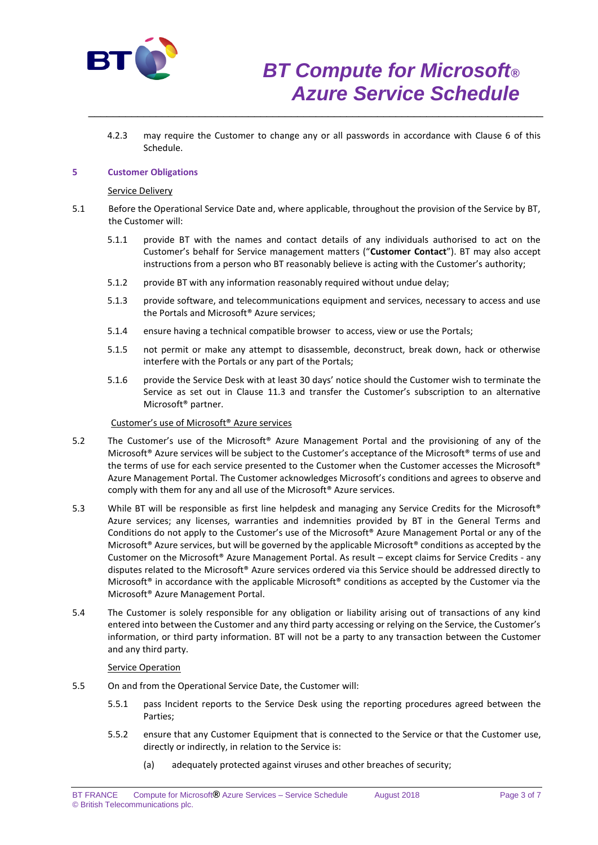

4.2.3 may require the Customer to change any or all passwords in accordance with Clause 6 of this Schedule.

\_\_\_\_\_\_\_\_\_\_\_\_\_\_\_\_\_\_\_\_\_\_\_\_\_\_\_\_\_\_\_\_\_\_\_\_\_\_\_\_\_\_\_\_\_\_\_\_\_\_\_\_\_\_\_\_\_\_\_\_\_\_\_\_\_\_\_\_\_\_\_\_\_\_

## **5 Customer Obligations**

#### Service Delivery

- 5.1 Before the Operational Service Date and, where applicable, throughout the provision of the Service by BT, the Customer will:
	- 5.1.1 provide BT with the names and contact details of any individuals authorised to act on the Customer's behalf for Service management matters ("**Customer Contact**"). BT may also accept instructions from a person who BT reasonably believe is acting with the Customer's authority;
	- 5.1.2 provide BT with any information reasonably required without undue delay;
	- 5.1.3 provide software, and telecommunications equipment and services, necessary to access and use the Portals and Microsoft® Azure services;
	- 5.1.4 ensure having a technical compatible browser to access, view or use the Portals;
	- 5.1.5 not permit or make any attempt to disassemble, deconstruct, break down, hack or otherwise interfere with the Portals or any part of the Portals;
	- 5.1.6 provide the Service Desk with at least 30 days' notice should the Customer wish to terminate the Service as set out in Clause 11.3 and transfer the Customer's subscription to an alternative Microsoft® partner.

## Customer's use of Microsoft® Azure services

- 5.2 The Customer's use of the Microsoft® Azure Management Portal and the provisioning of any of the Microsoft® Azure services will be subject to the Customer's acceptance of the Microsoft® terms of use and the terms of use for each service presented to the Customer when the Customer accesses the Microsoft® Azure Management Portal. The Customer acknowledges Microsoft's conditions and agrees to observe and comply with them for any and all use of the Microsoft® Azure services.
- 5.3 While BT will be responsible as first line helpdesk and managing any Service Credits for the Microsoft® Azure services; any licenses, warranties and indemnities provided by BT in the General Terms and Conditions do not apply to the Customer's use of the Microsoft® Azure Management Portal or any of the Microsoft<sup>®</sup> Azure services, but will be governed by the applicable Microsoft<sup>®</sup> conditions as accepted by the Customer on the Microsoft® Azure Management Portal. As result – except claims for Service Credits - any disputes related to the Microsoft® Azure services ordered via this Service should be addressed directly to Microsoft® in accordance with the applicable Microsoft® conditions as accepted by the Customer via the Microsoft® Azure Management Portal.
- 5.4 The Customer is solely responsible for any obligation or liability arising out of transactions of any kind entered into between the Customer and any third party accessing or relying on the Service, the Customer's information, or third party information. BT will not be a party to any transaction between the Customer and any third party.

#### Service Operation

- 5.5 On and from the Operational Service Date, the Customer will:
	- 5.5.1 pass Incident reports to the Service Desk using the reporting procedures agreed between the Parties;
	- 5.5.2 ensure that any Customer Equipment that is connected to the Service or that the Customer use, directly or indirectly, in relation to the Service is:
		- (a) adequately protected against viruses and other breaches of security;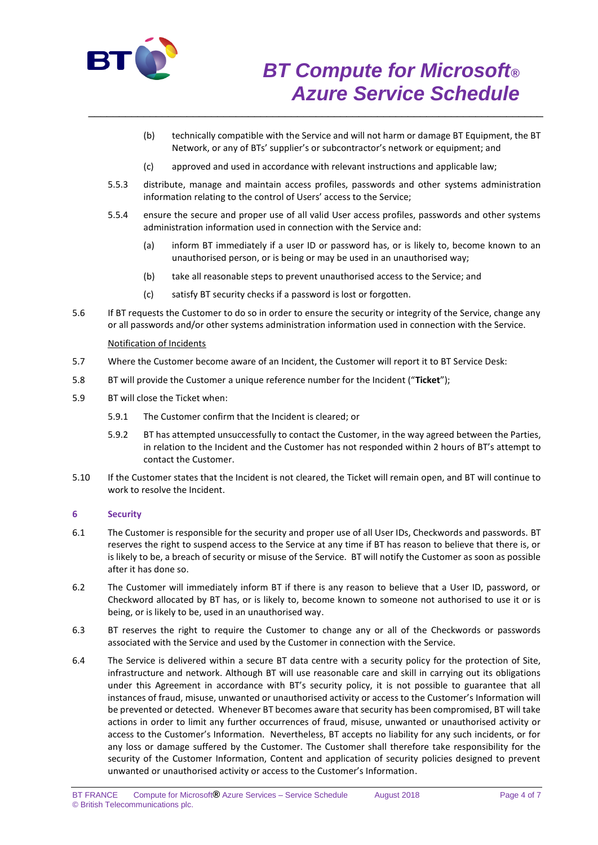

- (b) technically compatible with the Service and will not harm or damage BT Equipment, the BT Network, or any of BTs' supplier's or subcontractor's network or equipment; and
- (c) approved and used in accordance with relevant instructions and applicable law;

\_\_\_\_\_\_\_\_\_\_\_\_\_\_\_\_\_\_\_\_\_\_\_\_\_\_\_\_\_\_\_\_\_\_\_\_\_\_\_\_\_\_\_\_\_\_\_\_\_\_\_\_\_\_\_\_\_\_\_\_\_\_\_\_\_\_\_\_\_\_\_\_\_\_

- 5.5.3 distribute, manage and maintain access profiles, passwords and other systems administration information relating to the control of Users' access to the Service;
- 5.5.4 ensure the secure and proper use of all valid User access profiles, passwords and other systems administration information used in connection with the Service and:
	- (a) inform BT immediately if a user ID or password has, or is likely to, become known to an unauthorised person, or is being or may be used in an unauthorised way;
	- (b) take all reasonable steps to prevent unauthorised access to the Service; and
	- (c) satisfy BT security checks if a password is lost or forgotten.
- 5.6 If BT requests the Customer to do so in order to ensure the security or integrity of the Service, change any or all passwords and/or other systems administration information used in connection with the Service.

### Notification of Incidents

- 5.7 Where the Customer become aware of an Incident, the Customer will report it to BT Service Desk:
- 5.8 BT will provide the Customer a unique reference number for the Incident ("**Ticket**");
- 5.9 BT will close the Ticket when:
	- 5.9.1 The Customer confirm that the Incident is cleared; or
	- 5.9.2 BT has attempted unsuccessfully to contact the Customer, in the way agreed between the Parties, in relation to the Incident and the Customer has not responded within 2 hours of BT's attempt to contact the Customer.
- 5.10 If the Customer states that the Incident is not cleared, the Ticket will remain open, and BT will continue to work to resolve the Incident.

## **6 Security**

- 6.1 The Customer is responsible for the security and proper use of all User IDs, Checkwords and passwords. BT reserves the right to suspend access to the Service at any time if BT has reason to believe that there is, or is likely to be, a breach of security or misuse of the Service. BT will notify the Customer as soon as possible after it has done so.
- 6.2 The Customer will immediately inform BT if there is any reason to believe that a User ID, password, or Checkword allocated by BT has, or is likely to, become known to someone not authorised to use it or is being, or is likely to be, used in an unauthorised way.
- 6.3 BT reserves the right to require the Customer to change any or all of the Checkwords or passwords associated with the Service and used by the Customer in connection with the Service.
- 6.4 The Service is delivered within a secure BT data centre with a security policy for the protection of Site, infrastructure and network. Although BT will use reasonable care and skill in carrying out its obligations under this Agreement in accordance with BT's security policy, it is not possible to guarantee that all instances of fraud, misuse, unwanted or unauthorised activity or access to the Customer's Information will be prevented or detected. Whenever BT becomes aware that security has been compromised, BT will take actions in order to limit any further occurrences of fraud, misuse, unwanted or unauthorised activity or access to the Customer's Information. Nevertheless, BT accepts no liability for any such incidents, or for any loss or damage suffered by the Customer. The Customer shall therefore take responsibility for the security of the Customer Information, Content and application of security policies designed to prevent unwanted or unauthorised activity or access to the Customer's Information.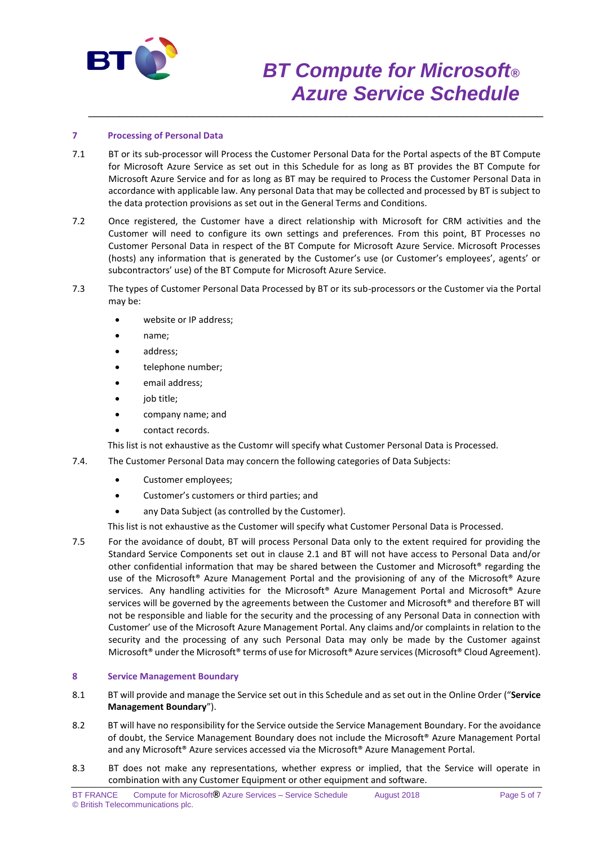

# *BT Compute for Microsoft® Azure Service Schedule*

## **7 Processing of Personal Data**

7.1 BT or its sub-processor will Process the Customer Personal Data for the Portal aspects of the BT Compute for Microsoft Azure Service as set out in this Schedule for as long as BT provides the BT Compute for Microsoft Azure Service and for as long as BT may be required to Process the Customer Personal Data in accordance with applicable law. Any personal Data that may be collected and processed by BT is subject to the data protection provisions as set out in the General Terms and Conditions.

\_\_\_\_\_\_\_\_\_\_\_\_\_\_\_\_\_\_\_\_\_\_\_\_\_\_\_\_\_\_\_\_\_\_\_\_\_\_\_\_\_\_\_\_\_\_\_\_\_\_\_\_\_\_\_\_\_\_\_\_\_\_\_\_\_\_\_\_\_\_\_\_\_\_

- 7.2 Once registered, the Customer have a direct relationship with Microsoft for CRM activities and the Customer will need to configure its own settings and preferences. From this point, BT Processes no Customer Personal Data in respect of the BT Compute for Microsoft Azure Service. Microsoft Processes (hosts) any information that is generated by the Customer's use (or Customer's employees', agents' or subcontractors' use) of the BT Compute for Microsoft Azure Service.
- 7.3 The types of Customer Personal Data Processed by BT or its sub-processors or the Customer via the Portal may be:
	- website or IP address;
	- name;
	- address;
	- telephone number;
	- email address;
	- job title;
	- company name; and
	- contact records.

This list is not exhaustive as the Customr will specify what Customer Personal Data is Processed.

- 7.4. The Customer Personal Data may concern the following categories of Data Subjects:
	- Customer employees;
	- Customer's customers or third parties; and
	- any Data Subject (as controlled by the Customer).

This list is not exhaustive as the Customer will specify what Customer Personal Data is Processed.

7.5 For the avoidance of doubt, BT will process Personal Data only to the extent required for providing the Standard Service Components set out in clause 2.1 and BT will not have access to Personal Data and/or other confidential information that may be shared between the Customer and Microsoft® regarding the use of the Microsoft® Azure Management Portal and the provisioning of any of the Microsoft® Azure services. Any handling activities for the Microsoft® Azure Management Portal and Microsoft® Azure services will be governed by the agreements between the Customer and Microsoft® and therefore BT will not be responsible and liable for the security and the processing of any Personal Data in connection with Customer' use of the Microsoft Azure Management Portal. Any claims and/or complaints in relation to the security and the processing of any such Personal Data may only be made by the Customer against Microsoft® under the Microsoft® terms of use for Microsoft® Azure services (Microsoft® Cloud Agreement).

### **8 Service Management Boundary**

- 8.1 BT will provide and manage the Service set out in this Schedule and as set out in the Online Order ("**Service Management Boundary**").
- 8.2 BT will have no responsibility for the Service outside the Service Management Boundary. For the avoidance of doubt, the Service Management Boundary does not include the Microsoft® Azure Management Portal and any Microsoft® Azure services accessed via the Microsoft® Azure Management Portal.
- 8.3 BT does not make any representations, whether express or implied, that the Service will operate in combination with any Customer Equipment or other equipment and software.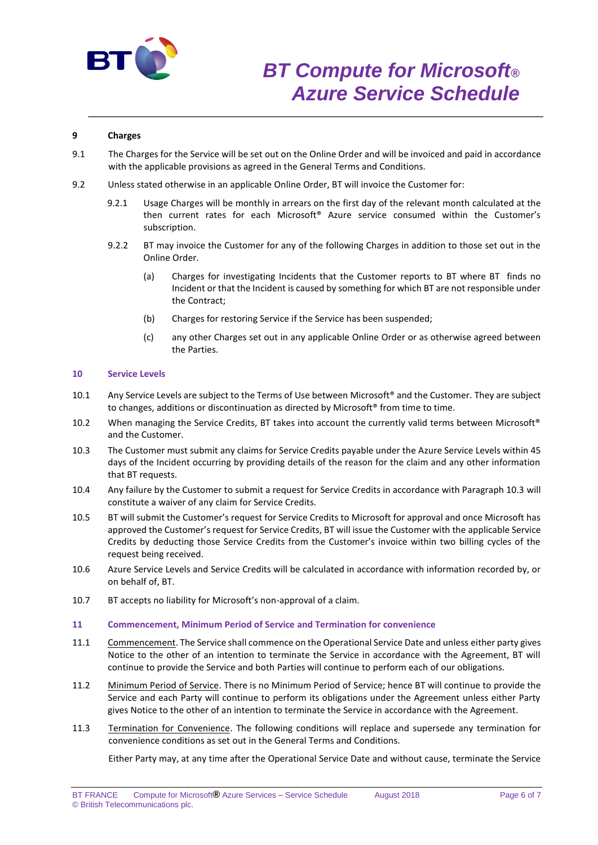

# *BT Compute for Microsoft® Azure Service Schedule*

# **9 Charges**

9.1 The Charges for the Service will be set out on the Online Order and will be invoiced and paid in accordance with the applicable provisions as agreed in the General Terms and Conditions.

\_\_\_\_\_\_\_\_\_\_\_\_\_\_\_\_\_\_\_\_\_\_\_\_\_\_\_\_\_\_\_\_\_\_\_\_\_\_\_\_\_\_\_\_\_\_\_\_\_\_\_\_\_\_\_\_\_\_\_\_\_\_\_\_\_\_\_\_\_\_\_\_\_\_

- 9.2 Unless stated otherwise in an applicable Online Order, BT will invoice the Customer for:
	- 9.2.1 Usage Charges will be monthly in arrears on the first day of the relevant month calculated at the then current rates for each Microsoft® Azure service consumed within the Customer's subscription.
	- 9.2.2 BT may invoice the Customer for any of the following Charges in addition to those set out in the Online Order.
		- (a) Charges for investigating Incidents that the Customer reports to BT where BT finds no Incident or that the Incident is caused by something for which BT are not responsible under the Contract;
		- (b) Charges for restoring Service if the Service has been suspended;
		- (c) any other Charges set out in any applicable Online Order or as otherwise agreed between the Parties.

## **10 Service Levels**

- 10.1 Any Service Levels are subject to the Terms of Use between Microsoft® and the Customer. They are subject to changes, additions or discontinuation as directed by Microsoft® from time to time.
- 10.2 When managing the Service Credits, BT takes into account the currently valid terms between Microsoft® and the Customer.
- 10.3 The Customer must submit any claims for Service Credits payable under the Azure Service Levels within 45 days of the Incident occurring by providing details of the reason for the claim and any other information that BT requests.
- 10.4 Any failure by the Customer to submit a request for Service Credits in accordance with Paragraph 10.3 will constitute a waiver of any claim for Service Credits.
- 10.5 BT will submit the Customer's request for Service Credits to Microsoft for approval and once Microsoft has approved the Customer's request for Service Credits, BT will issue the Customer with the applicable Service Credits by deducting those Service Credits from the Customer's invoice within two billing cycles of the request being received.
- 10.6 Azure Service Levels and Service Credits will be calculated in accordance with information recorded by, or on behalf of, BT.
- 10.7 BT accepts no liability for Microsoft's non-approval of a claim.

## **11 Commencement, Minimum Period of Service and Termination for convenience**

- 11.1 Commencement. The Service shall commence on the Operational Service Date and unless either party gives Notice to the other of an intention to terminate the Service in accordance with the Agreement, BT will continue to provide the Service and both Parties will continue to perform each of our obligations.
- 11.2 Minimum Period of Service. There is no Minimum Period of Service; hence BT will continue to provide the Service and each Party will continue to perform its obligations under the Agreement unless either Party gives Notice to the other of an intention to terminate the Service in accordance with the Agreement.
- 11.3 Termination for Convenience. The following conditions will replace and supersede any termination for convenience conditions as set out in the General Terms and Conditions.

Either Party may, at any time after the Operational Service Date and without cause, terminate the Service